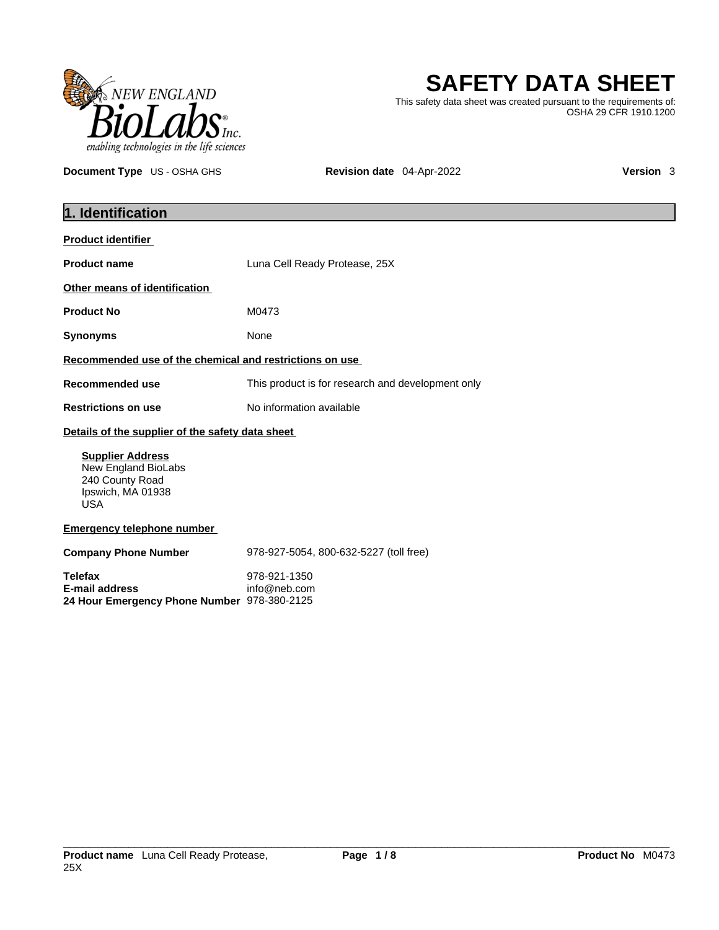

# **SAFETY DATA SHEET**

This safety data sheet was created pursuant to the requirements of: OSHA 29 CFR 1910.1200

**Document Type** US - OSHA GHS **Revision date** 04-Apr-2022 **Version 3** 

| 1. Identification                                                                                    |                                                   |
|------------------------------------------------------------------------------------------------------|---------------------------------------------------|
| <b>Product identifier</b>                                                                            |                                                   |
| <b>Product name</b>                                                                                  | Luna Cell Ready Protease, 25X                     |
| Other means of identification                                                                        |                                                   |
| <b>Product No</b>                                                                                    | M0473                                             |
| <b>Synonyms</b>                                                                                      | None                                              |
| Recommended use of the chemical and restrictions on use                                              |                                                   |
| <b>Recommended use</b>                                                                               | This product is for research and development only |
| <b>Restrictions on use</b>                                                                           | No information available                          |
| Details of the supplier of the safety data sheet                                                     |                                                   |
| <b>Supplier Address</b><br>New England BioLabs<br>240 County Road<br>Ipswich, MA 01938<br><b>USA</b> |                                                   |
| <b>Emergency telephone number</b>                                                                    |                                                   |
| <b>Company Phone Number</b>                                                                          | 978-927-5054, 800-632-5227 (toll free)            |
| <b>Telefax</b><br><b>E-mail address</b><br>24 Hour Emergency Phone Number 978-380-2125               | 978-921-1350<br>info@neb.com                      |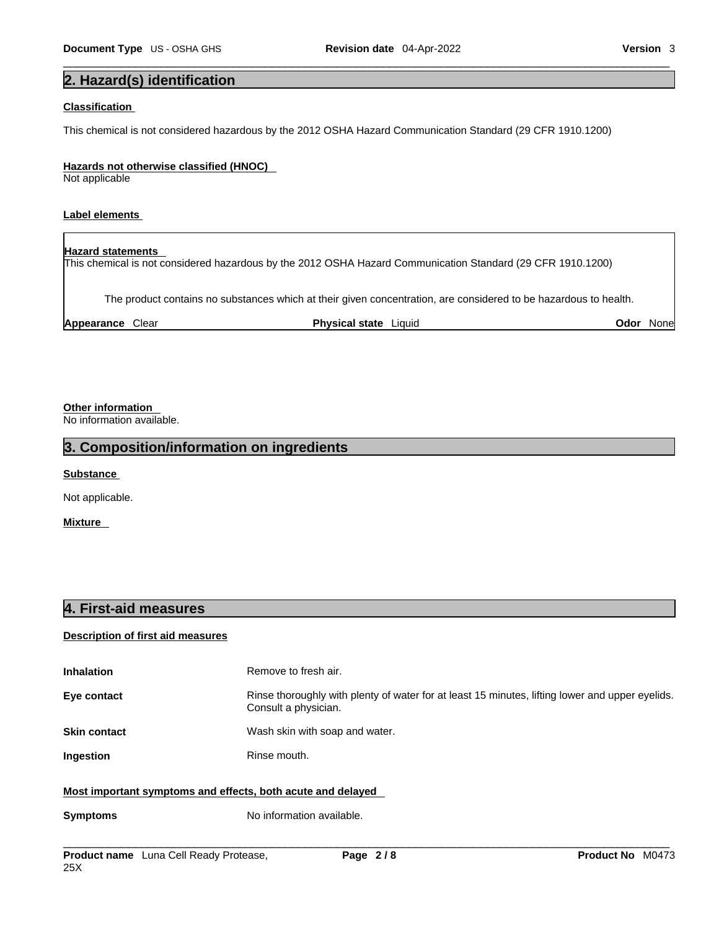## **2. Hazard(s) identification**

## **Classification**

This chemical is not considered hazardous by the 2012 OSHA Hazard Communication Standard (29 CFR 1910.1200)

## **Hazards not otherwise classified (HNOC)**

Not applicable

## **Label elements**

**Hazard statements**  This chemical is not considered hazardous by the 2012 OSHA Hazard Communication Standard (29 CFR 1910.1200)

The product contains no substances which at their given concentration, are considered to be hazardous to health.

**Appearance** Clear **Physical state** Liquid **Odor** None

## **Other information**

No information available.

## **3. Composition/information on ingredients**

**Substance** 

Not applicable.

**Mixture** 

## **4. First-aid measures**

## **Description of first aid measures**

| <b>Inhalation</b>                                           | Remove to fresh air.                                                                                                    |
|-------------------------------------------------------------|-------------------------------------------------------------------------------------------------------------------------|
| Eye contact                                                 | Rinse thoroughly with plenty of water for at least 15 minutes, lifting lower and upper eyelids.<br>Consult a physician. |
| <b>Skin contact</b>                                         | Wash skin with soap and water.                                                                                          |
| Ingestion                                                   | Rinse mouth.                                                                                                            |
| Most important symptoms and effects, both acute and delayed |                                                                                                                         |

## **Symptoms** No information available.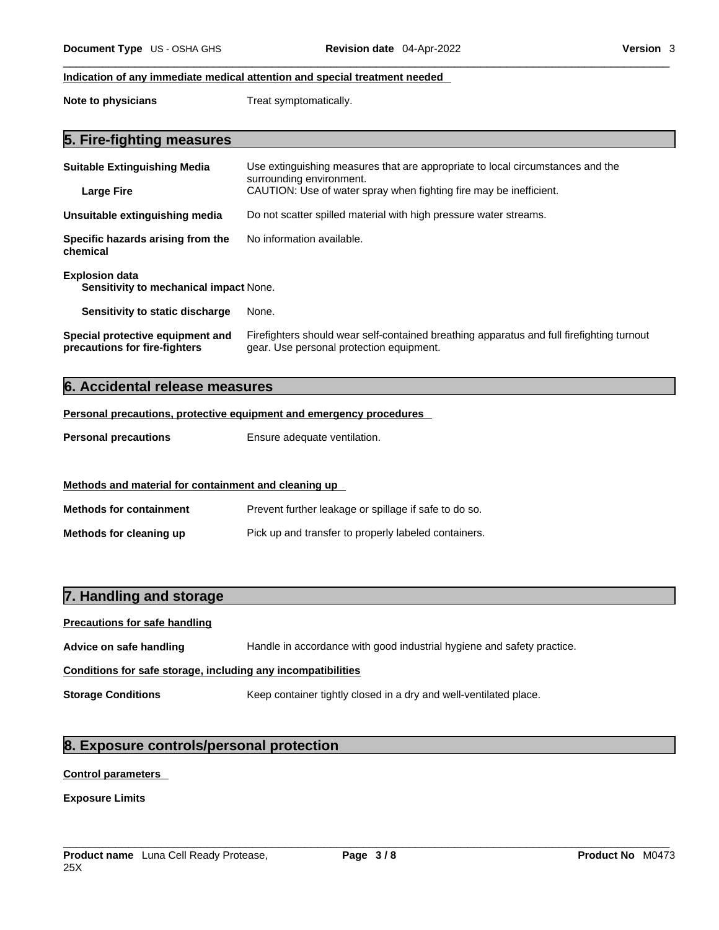## **Indication of any immediate medical attention and special treatment needed**

**Note to physicians** Treat symptomatically.

| <b>Suitable Extinguishing Media</b><br><b>Large Fire</b>               | Use extinguishing measures that are appropriate to local circumstances and the<br>surrounding environment.<br>CAUTION: Use of water spray when fighting fire may be inefficient. |
|------------------------------------------------------------------------|----------------------------------------------------------------------------------------------------------------------------------------------------------------------------------|
| Unsuitable extinguishing media                                         | Do not scatter spilled material with high pressure water streams.                                                                                                                |
| Specific hazards arising from the<br>chemical                          | No information available.                                                                                                                                                        |
| <b>Explosion data</b><br><b>Sensitivity to mechanical impact None.</b> |                                                                                                                                                                                  |
| Sensitivity to static discharge                                        | None.                                                                                                                                                                            |
| Special protective equipment and<br>precautions for fire-fighters      | Firefighters should wear self-contained breathing apparatus and full firefighting turnout<br>gear. Use personal protection equipment.                                            |

## **6. Accidental release measures**

## **Personal precautions, protective equipment and emergency procedures**

| <b>Personal precautions</b> | Ensure adequate ventilation. |
|-----------------------------|------------------------------|
|-----------------------------|------------------------------|

| Methods and material for containment and cleaning up |                                                       |
|------------------------------------------------------|-------------------------------------------------------|
| <b>Methods for containment</b>                       | Prevent further leakage or spillage if safe to do so. |
| Methods for cleaning up                              | Pick up and transfer to properly labeled containers.  |

## **7. Handling and storage**

| <b>Precautions for safe handling</b>                         |                                                                        |  |
|--------------------------------------------------------------|------------------------------------------------------------------------|--|
| Advice on safe handling                                      | Handle in accordance with good industrial hygiene and safety practice. |  |
| Conditions for safe storage, including any incompatibilities |                                                                        |  |
| <b>Storage Conditions</b>                                    | Keep container tightly closed in a dry and well-ventilated place.      |  |

## **8. Exposure controls/personal protection**

## **Control parameters**

**Exposure Limits**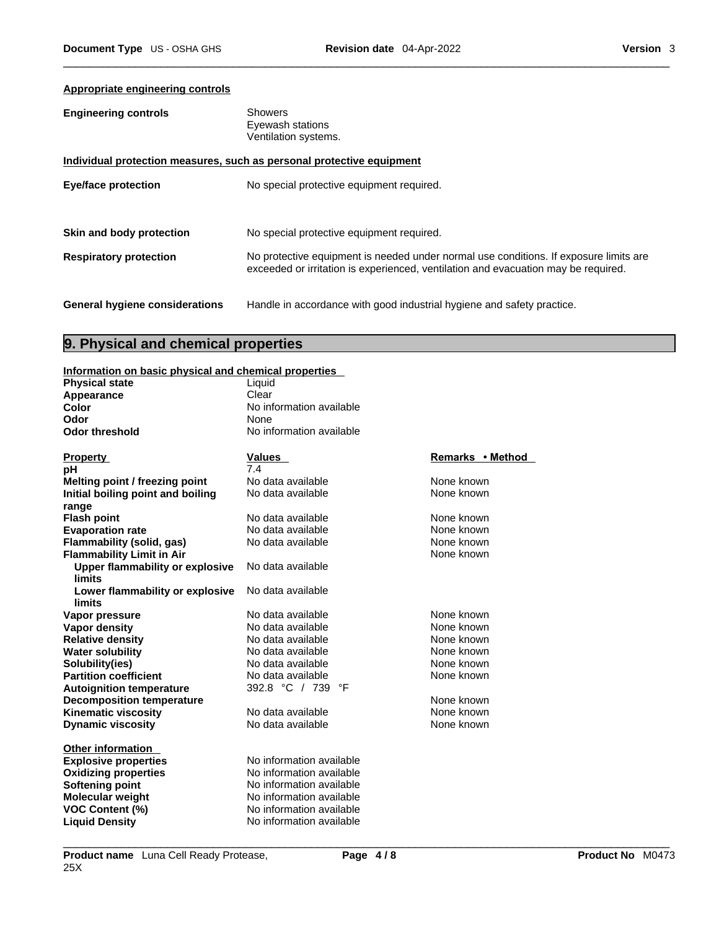## **Appropriate engineering controls**

| <b>Engineering controls</b> | <b>Showers</b>       |
|-----------------------------|----------------------|
|                             | Eyewash stations     |
|                             | Ventilation systems. |
|                             |                      |

|                                       | Individual protection measures, such as personal protective equipment                                                                                                       |
|---------------------------------------|-----------------------------------------------------------------------------------------------------------------------------------------------------------------------------|
| Eye/face protection                   | No special protective equipment required.                                                                                                                                   |
| Skin and body protection              | No special protective equipment required.                                                                                                                                   |
| <b>Respiratory protection</b>         | No protective equipment is needed under normal use conditions. If exposure limits are<br>exceeded or irritation is experienced, ventilation and evacuation may be required. |
| <b>General hygiene considerations</b> | Handle in accordance with good industrial hygiene and safety practice.                                                                                                      |

## **9. Physical and chemical properties**

## **Information on basic physical and chemical properties**

| mnormanon on pasio priveroar and chemical properties |                          |                  |
|------------------------------------------------------|--------------------------|------------------|
| <b>Physical state</b>                                | Liquid                   |                  |
| Appearance                                           | Clear                    |                  |
| Color                                                | No information available |                  |
| Odor                                                 | None                     |                  |
| <b>Odor threshold</b>                                | No information available |                  |
|                                                      |                          |                  |
| <b>Property</b>                                      | Values                   | Remarks • Method |
| рH                                                   | 7.4                      |                  |
| Melting point / freezing point                       | No data available        | None known       |
| Initial boiling point and boiling                    | No data available        | None known       |
| range                                                |                          |                  |
| <b>Flash point</b>                                   | No data available        | None known       |
| <b>Evaporation rate</b>                              | No data available        | None known       |
| Flammability (solid, gas)                            | No data available        | None known       |
| <b>Flammability Limit in Air</b>                     |                          | None known       |
| Upper flammability or explosive                      | No data available        |                  |
| limits                                               |                          |                  |
| Lower flammability or explosive                      | No data available        |                  |
| limits                                               |                          |                  |
| Vapor pressure                                       | No data available        | None known       |
| <b>Vapor density</b>                                 | No data available        | None known       |
| <b>Relative density</b>                              | No data available        | None known       |
| <b>Water solubility</b>                              | No data available        | None known       |
| Solubility(ies)                                      | No data available        | None known       |
| <b>Partition coefficient</b>                         | No data available        | None known       |
| <b>Autoignition temperature</b>                      | 392.8 °C / 739<br>°F     |                  |
| <b>Decomposition temperature</b>                     |                          | None known       |
| <b>Kinematic viscosity</b>                           | No data available        | None known       |
| <b>Dynamic viscosity</b>                             | No data available        | None known       |
| <b>Other information</b>                             |                          |                  |
| <b>Explosive properties</b>                          | No information available |                  |
| <b>Oxidizing properties</b>                          | No information available |                  |
| <b>Softening point</b>                               | No information available |                  |
| Molecular weight                                     | No information available |                  |
| <b>VOC Content (%)</b>                               | No information available |                  |
| <b>Liquid Density</b>                                | No information available |                  |
|                                                      |                          |                  |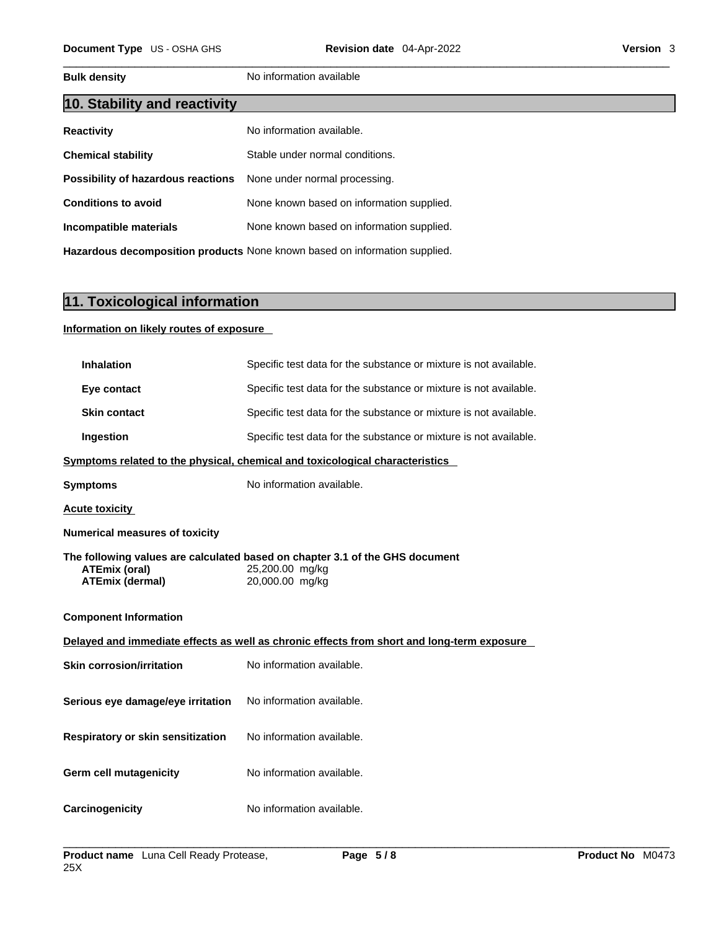**Bulk density No information available** 

| 10. Stability and reactivity       |                                           |
|------------------------------------|-------------------------------------------|
| <b>Reactivity</b>                  | No information available.                 |
| <b>Chemical stability</b>          | Stable under normal conditions.           |
| Possibility of hazardous reactions | None under normal processing.             |
| <b>Conditions to avoid</b>         | None known based on information supplied. |
| Incompatible materials             | None known based on information supplied. |
|                                    |                                           |

**Hazardous decomposition products** None known based on information supplied.

## **11. Toxicological information**

## **Information on likely routes of exposure**

| <b>Inhalation</b>                        | Specific test data for the substance or mixture is not available.                               |
|------------------------------------------|-------------------------------------------------------------------------------------------------|
| Eye contact                              | Specific test data for the substance or mixture is not available.                               |
| <b>Skin contact</b>                      | Specific test data for the substance or mixture is not available.                               |
| Ingestion                                | Specific test data for the substance or mixture is not available.                               |
|                                          | Symptoms related to the physical, chemical and toxicological characteristics                    |
| <b>Symptoms</b>                          | No information available.                                                                       |
| <b>Acute toxicity</b>                    |                                                                                                 |
| <b>Numerical measures of toxicity</b>    |                                                                                                 |
| <b>ATEmix (oral)</b>                     | The following values are calculated based on chapter 3.1 of the GHS document<br>25,200.00 mg/kg |
| <b>ATEmix (dermal)</b>                   | 20,000.00 mg/kg                                                                                 |
| <b>Component Information</b>             |                                                                                                 |
|                                          | Delayed and immediate effects as well as chronic effects from short and long-term exposure      |
| <b>Skin corrosion/irritation</b>         | No information available.                                                                       |
| Serious eye damage/eye irritation        | No information available.                                                                       |
| <b>Respiratory or skin sensitization</b> | No information available.                                                                       |
| <b>Germ cell mutagenicity</b>            | No information available.                                                                       |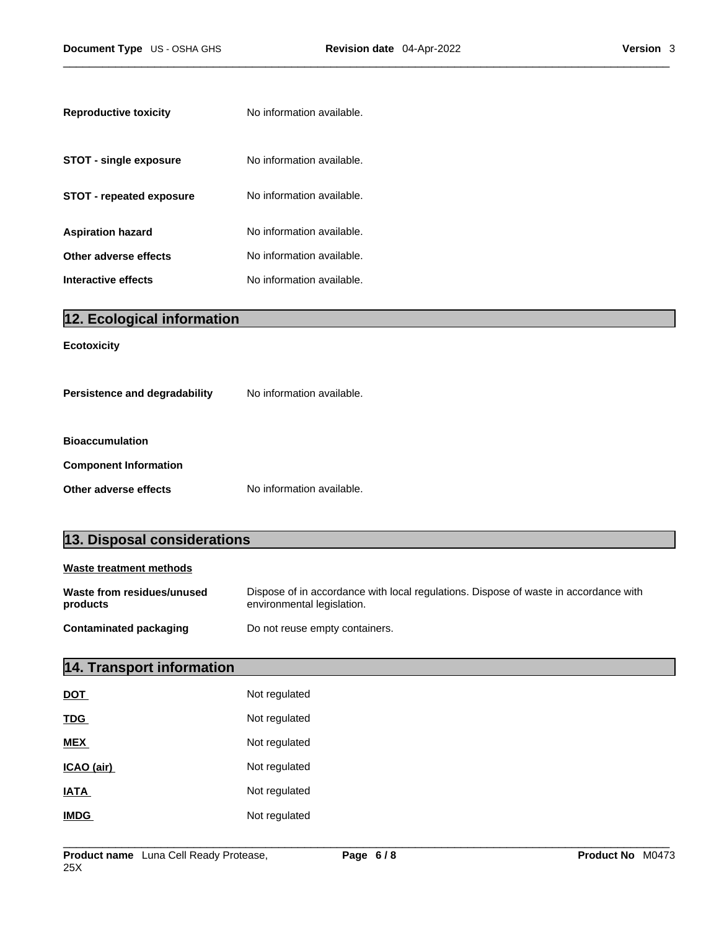| <b>Reproductive toxicity</b>  | No information available. |
|-------------------------------|---------------------------|
| <b>STOT - single exposure</b> | No information available. |
| STOT - repeated exposure      | No information available. |
| Aspiration hazard             | No information available. |
| Other adverse effects         | No information available. |
| Interactive effects           | No information available. |

| 12. Ecological information    |                           |
|-------------------------------|---------------------------|
| <b>Ecotoxicity</b>            |                           |
| Persistence and degradability | No information available. |
| <b>Bioaccumulation</b>        |                           |
| <b>Component Information</b>  |                           |
| Other adverse effects         | No information available. |

## **13. Disposal considerations**

| Waste treatment methods                |                                                                                                                    |  |  |  |  |
|----------------------------------------|--------------------------------------------------------------------------------------------------------------------|--|--|--|--|
| Waste from residues/unused<br>products | Dispose of in accordance with local regulations. Dispose of waste in accordance with<br>environmental legislation. |  |  |  |  |
| <b>Contaminated packaging</b>          | Do not reuse empty containers.                                                                                     |  |  |  |  |

## **14. Transport information**

| <b>DOT</b>  | Not regulated |
|-------------|---------------|
| <b>TDG</b>  | Not regulated |
| <b>MEX</b>  | Not regulated |
| ICAO (air)  | Not regulated |
| <b>IATA</b> | Not regulated |
| <b>IMDG</b> | Not regulated |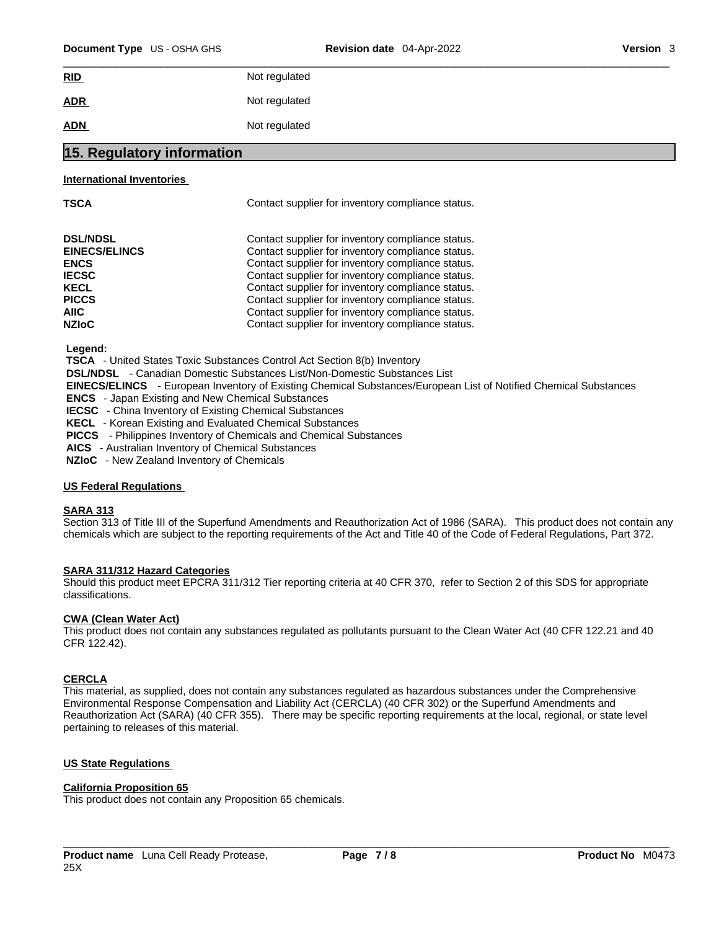| Document Type US - OSHA GHS | <b>Revision date</b> 04-Apr-2022 | Version 3 |
|-----------------------------|----------------------------------|-----------|
| RID                         | Not regulated                    |           |
| <b>ADR</b>                  | Not regulated                    |           |
| <b>ADN</b>                  | Not regulated                    |           |
| .<br>.<br>. .<br>.          |                                  |           |

## **15. Regulatory information**

### **International Inventories**

Contact supplier for inventory compliance status.

| <b>DSL/NDSL</b>      | Contact supplier for inventory compliance status. |
|----------------------|---------------------------------------------------|
| <b>EINECS/ELINCS</b> | Contact supplier for inventory compliance status. |
| <b>ENCS</b>          | Contact supplier for inventory compliance status. |
| <b>IECSC</b>         | Contact supplier for inventory compliance status. |
| <b>KECL</b>          | Contact supplier for inventory compliance status. |
| <b>PICCS</b>         | Contact supplier for inventory compliance status. |
| AIIC.                | Contact supplier for inventory compliance status. |
| <b>NZIoC</b>         | Contact supplier for inventory compliance status. |

 **Legend:** 

 **TSCA** - United States Toxic Substances Control Act Section 8(b) Inventory

 **DSL/NDSL** - Canadian Domestic Substances List/Non-Domestic Substances List

 **EINECS/ELINCS** - European Inventory of Existing Chemical Substances/European List of Notified Chemical Substances

 **ENCS** - Japan Existing and New Chemical Substances

 **IECSC** - China Inventory of Existing Chemical Substances

 **KECL** - Korean Existing and Evaluated Chemical Substances

 **PICCS** - Philippines Inventory of Chemicals and Chemical Substances

 **AICS** - Australian Inventory of Chemical Substances

 **NZIoC** - New Zealand Inventory of Chemicals

### **US Federal Regulations**

## **SARA 313**

Section 313 of Title III of the Superfund Amendments and Reauthorization Act of 1986 (SARA). This product does not contain any chemicals which are subject to the reporting requirements of the Act and Title 40 of the Code of Federal Regulations, Part 372.

## **SARA 311/312 Hazard Categories**

Should this product meet EPCRA 311/312 Tier reporting criteria at 40 CFR 370, refer to Section 2 of this SDS for appropriate classifications.

### **CWA** (Clean Water Act)

This product does not contain any substances regulated as pollutants pursuant to the Clean Water Act (40 CFR 122.21 and 40 CFR 122.42).

## **CERCLA**

This material, as supplied, does not contain any substances regulated as hazardous substances under the Comprehensive Environmental Response Compensation and Liability Act (CERCLA) (40 CFR 302) or the Superfund Amendments and Reauthorization Act (SARA) (40 CFR 355). There may be specific reporting requirements at the local, regional, or state level pertaining to releases of this material.

## **US State Regulations**

## **California Proposition 65**

This product does not contain any Proposition 65 chemicals.